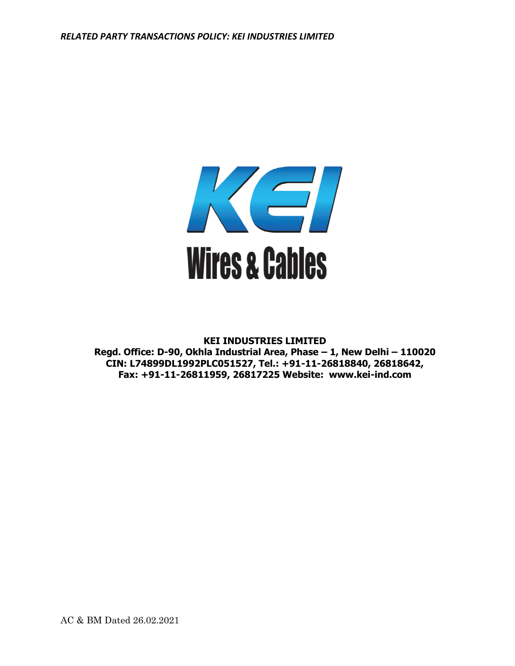

## **KEI INDUSTRIES LIMITED**

**Regd. Office: D-90, Okhla Industrial Area, Phase – 1, New Delhi – 110020 CIN: L74899DL1992PLC051527, Tel.: +91-11-26818840, 26818642, Fax: +91-11-26811959, 26817225 Website: www.kei-ind.com**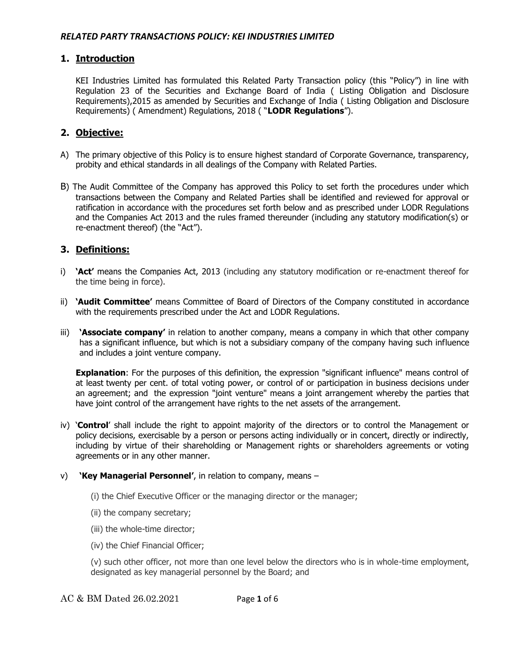## **1. Introduction**

KEI Industries Limited has formulated this Related Party Transaction policy (this "Policy") in line with Regulation 23 of the Securities and Exchange Board of India ( Listing Obligation and Disclosure Requirements),2015 as amended by Securities and Exchange of India ( Listing Obligation and Disclosure Requirements) ( Amendment) Regulations, 2018 ( "**LODR Regulations**").

# **2. Objective:**

- A) The primary objective of this Policy is to ensure highest standard of Corporate Governance, transparency, probity and ethical standards in all dealings of the Company with Related Parties.
- B) The Audit Committee of the Company has approved this Policy to set forth the procedures under which transactions between the Company and Related Parties shall be identified and reviewed for approval or ratification in accordance with the procedures set forth below and as prescribed under LODR Regulations and the Companies Act 2013 and the rules framed thereunder (including any statutory modification(s) or re-enactment thereof) (the "Act").

# **3. Definitions:**

- i) **'Act'** means the Companies Act, 2013 (including any statutory modification or re-enactment thereof for the time being in force).
- ii) **'Audit Committee'** means Committee of Board of Directors of the Company constituted in accordance with the requirements prescribed under the Act and LODR Regulations.
- iii) **'Associate company'** in relation to another company, means a company in which that other company has a significant influence, but which is not a subsidiary company of the company having such influence and includes a joint venture company.

**Explanation**: For the purposes of this definition, the expression "significant influence" means control of at least twenty per cent. of total voting power, or control of or participation in business decisions under an agreement; and the expression "joint venture" means a joint arrangement whereby the parties that have joint control of the arrangement have rights to the net assets of the arrangement.

- iv) '**Control**' shall include the right to appoint majority of the directors or to control the Management or policy decisions, exercisable by a person or persons acting individually or in concert, directly or indirectly, including by virtue of their shareholding or Management rights or shareholders agreements or voting agreements or in any other manner.
- v) **'Key Managerial Personnel'**, in relation to company, means
	- (i) the Chief Executive Officer or the managing director or the manager;
	- (ii) the company secretary;
	- (iii) the whole-time director;
	- (iv) the Chief Financial Officer;

(v) such other officer, not more than one level below the directors who is in whole-time employment, designated as key managerial personnel by the Board; and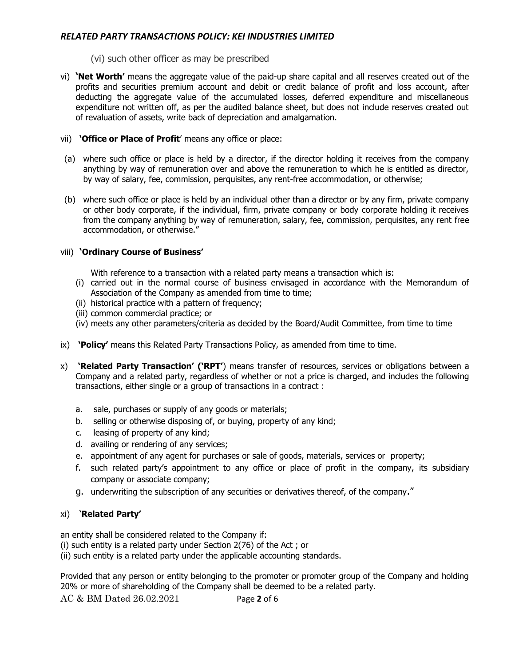(vi) such other officer as may be prescribed

- vi) **'Net Worth'** means the aggregate value of the paid-up share capital and all reserves created out of the profits and securities premium account and debit or credit balance of profit and loss account, after deducting the aggregate value of the accumulated losses, deferred expenditure and miscellaneous expenditure not written off, as per the audited balance sheet, but does not include reserves created out of revaluation of assets, write back of depreciation and amalgamation.
- vii) **'Office or Place of Profit**' means any office or place:
- (a) where such office or place is held by a director, if the director holding it receives from the company anything by way of remuneration over and above the remuneration to which he is entitled as director, by way of salary, fee, commission, perquisites, any rent-free accommodation, or otherwise;
- (b) where such office or place is held by an individual other than a director or by any firm, private company or other body corporate, if the individual, firm, private company or body corporate holding it receives from the company anything by way of remuneration, salary, fee, commission, perquisites, any rent free accommodation, or otherwise."

## viii) **'Ordinary Course of Business'**

With reference to a transaction with a related party means a transaction which is:

- (i) carried out in the normal course of business envisaged in accordance with the Memorandum of Association of the Company as amended from time to time;
- (ii) historical practice with a pattern of frequency;
- (iii) common commercial practice; or
- (iv) meets any other parameters/criteria as decided by the Board/Audit Committee, from time to time
- ix) **'Policy'** means this Related Party Transactions Policy, as amended from time to time.
- x) **'Related Party Transaction' ('RPT'**) means transfer of resources, services or obligations between a Company and a related party, regardless of whether or not a price is charged, and includes the following transactions, either single or a group of transactions in a contract :
	- a. sale, purchases or supply of any goods or materials;
	- b. selling or otherwise disposing of, or buying, property of any kind;
	- c. leasing of property of any kind;
	- d. availing or rendering of any services;
	- e. appointment of any agent for purchases or sale of goods, materials, services or property;
	- f. such related party's appointment to any office or place of profit in the company, its subsidiary company or associate company;
	- g. underwriting the subscription of any securities or derivatives thereof, of the company."

## xi) '**Related Party'**

an entity shall be considered related to the Company if:

(i) such entity is a related party under Section 2(76) of the Act ; or

(ii) such entity is a related party under the applicable accounting standards.

Provided that any person or entity belonging to the promoter or promoter group of the Company and holding 20% or more of shareholding of the Company shall be deemed to be a related party.

AC & BM Dated 26.02.2021 Page **2** of 6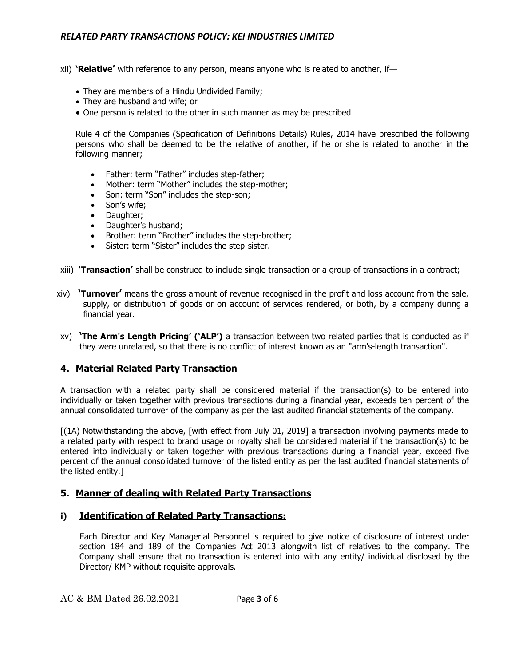- xii) **'Relative'** with reference to any person, means anyone who is related to another, if—
	- They are members of a Hindu Undivided Family;
	- They are husband and wife; or
	- One person is related to the other in such manner as may be prescribed

Rule 4 of the Companies (Specification of Definitions Details) Rules, 2014 have prescribed the following persons who shall be deemed to be the relative of another, if he or she is related to another in the following manner;

- Father: term "Father" includes step-father;
- Mother: term "Mother" includes the step-mother;
- Son: term "Son" includes the step-son;
- Son's wife;
- Daughter;
- Daughter's husband;
- Brother: term "Brother" includes the step-brother;
- Sister: term "Sister" includes the step-sister.
- xiii) **'Transaction'** shall be construed to include single transaction or a group of transactions in a contract;
- xiv) **'Turnover'** means the gross amount of revenue recognised in the profit and loss account from the sale, supply, or distribution of goods or on account of services rendered, or both, by a company during a financial year.
- xv) **'The Arm's Length Pricing' ('ALP')** a transaction between two related parties that is conducted as if they were unrelated, so that there is no conflict of interest known as an "arm's-length transaction".

#### **4. Material Related Party Transaction**

A transaction with a related party shall be considered material if the transaction(s) to be entered into individually or taken together with previous transactions during a financial year, exceeds ten percent of the annual consolidated turnover of the company as per the last audited financial statements of the company.

[(1A) Notwithstanding the above, [with effect from July 01, 2019] a transaction involving payments made to a related party with respect to brand usage or royalty shall be considered material if the transaction(s) to be entered into individually or taken together with previous transactions during a financial year, exceed five percent of the annual consolidated turnover of the listed entity as per the last audited financial statements of the listed entity.]

#### **5. Manner of dealing with Related Party Transactions**

#### **i) Identification of Related Party Transactions:**

Each Director and Key Managerial Personnel is required to give notice of disclosure of interest under section 184 and 189 of the Companies Act 2013 alongwith list of relatives to the company. The Company shall ensure that no transaction is entered into with any entity/ individual disclosed by the Director/ KMP without requisite approvals.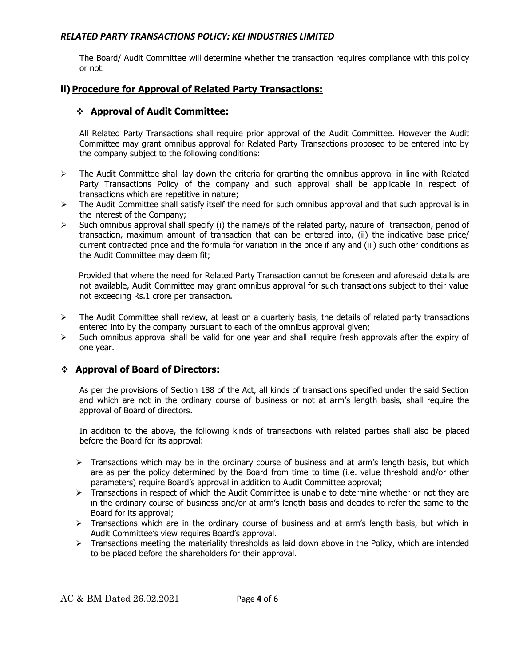The Board/ Audit Committee will determine whether the transaction requires compliance with this policy or not.

# **ii) Procedure for Approval of Related Party Transactions:**

# ❖ **Approval of Audit Committee:**

All Related Party Transactions shall require prior approval of the Audit Committee. However the Audit Committee may grant omnibus approval for Related Party Transactions proposed to be entered into by the company subject to the following conditions:

- $\triangleright$  The Audit Committee shall lay down the criteria for granting the omnibus approval in line with Related Party Transactions Policy of the company and such approval shall be applicable in respect of transactions which are repetitive in nature;
- $\triangleright$  The Audit Committee shall satisfy itself the need for such omnibus approval and that such approval is in the interest of the Company;
- $\triangleright$  Such omnibus approval shall specify (i) the name/s of the related party, nature of transaction, period of transaction, maximum amount of transaction that can be entered into, (ii) the indicative base price/ current contracted price and the formula for variation in the price if any and (iii) such other conditions as the Audit Committee may deem fit;

 Provided that where the need for Related Party Transaction cannot be foreseen and aforesaid details are not available, Audit Committee may grant omnibus approval for such transactions subject to their value not exceeding Rs.1 crore per transaction.

- $\triangleright$  The Audit Committee shall review, at least on a quarterly basis, the details of related party transactions entered into by the company pursuant to each of the omnibus approval given;
- $\triangleright$  Such omnibus approval shall be valid for one year and shall require fresh approvals after the expiry of one year.

## ❖ **Approval of Board of Directors:**

As per the provisions of Section 188 of the Act, all kinds of transactions specified under the said Section and which are not in the ordinary course of business or not at arm's length basis, shall require the approval of Board of directors.

In addition to the above, the following kinds of transactions with related parties shall also be placed before the Board for its approval:

- > Transactions which may be in the ordinary course of business and at arm's length basis, but which are as per the policy determined by the Board from time to time (i.e. value threshold and/or other parameters) require Board's approval in addition to Audit Committee approval;
- $\triangleright$  Transactions in respect of which the Audit Committee is unable to determine whether or not they are in the ordinary course of business and/or at arm's length basis and decides to refer the same to the Board for its approval;
- > Transactions which are in the ordinary course of business and at arm's length basis, but which in Audit Committee's view requires Board's approval.
- ➢ Transactions meeting the materiality thresholds as laid down above in the Policy, which are intended to be placed before the shareholders for their approval.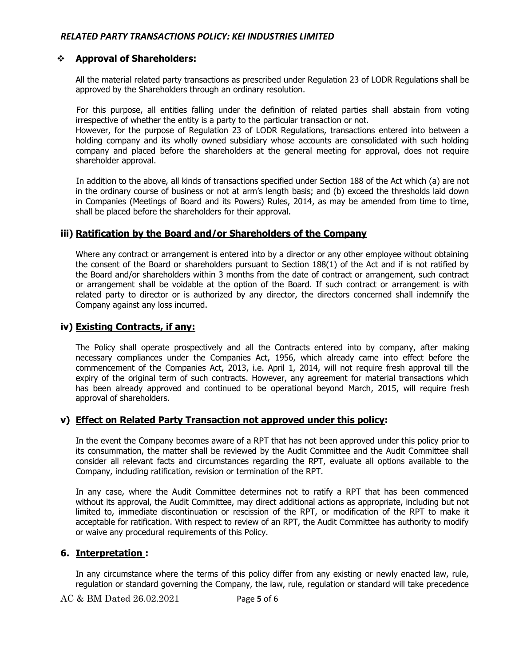### ❖ **Approval of Shareholders:**

All the material related party transactions as prescribed under Regulation 23 of LODR Regulations shall be approved by the Shareholders through an ordinary resolution.

 For this purpose, all entities falling under the definition of related parties shall abstain from voting irrespective of whether the entity is a party to the particular transaction or not.

However, for the purpose of Regulation 23 of LODR Regulations, transactions entered into between a holding company and its wholly owned subsidiary whose accounts are consolidated with such holding company and placed before the shareholders at the general meeting for approval, does not require shareholder approval.

 In addition to the above, all kinds of transactions specified under Section 188 of the Act which (a) are not in the ordinary course of business or not at arm's length basis; and (b) exceed the thresholds laid down in Companies (Meetings of Board and its Powers) Rules, 2014, as may be amended from time to time, shall be placed before the shareholders for their approval.

### **iii) Ratification by the Board and/or Shareholders of the Company**

Where any contract or arrangement is entered into by a director or any other employee without obtaining the consent of the Board or shareholders pursuant to Section 188(1) of the Act and if is not ratified by the Board and/or shareholders within 3 months from the date of contract or arrangement, such contract or arrangement shall be voidable at the option of the Board. If such contract or arrangement is with related party to director or is authorized by any director, the directors concerned shall indemnify the Company against any loss incurred.

#### **iv) Existing Contracts, if any:**

The Policy shall operate prospectively and all the Contracts entered into by company, after making necessary compliances under the Companies Act, 1956, which already came into effect before the commencement of the Companies Act, 2013, i.e. April 1, 2014, will not require fresh approval till the expiry of the original term of such contracts. However, any agreement for material transactions which has been already approved and continued to be operational beyond March, 2015, will require fresh approval of shareholders.

#### **v) Effect on Related Party Transaction not approved under this policy:**

In the event the Company becomes aware of a RPT that has not been approved under this policy prior to its consummation, the matter shall be reviewed by the Audit Committee and the Audit Committee shall consider all relevant facts and circumstances regarding the RPT, evaluate all options available to the Company, including ratification, revision or termination of the RPT.

In any case, where the Audit Committee determines not to ratify a RPT that has been commenced without its approval, the Audit Committee, may direct additional actions as appropriate, including but not limited to, immediate discontinuation or rescission of the RPT, or modification of the RPT to make it acceptable for ratification. With respect to review of an RPT, the Audit Committee has authority to modify or waive any procedural requirements of this Policy.

## **6. Interpretation :**

In any circumstance where the terms of this policy differ from any existing or newly enacted law, rule, regulation or standard governing the Company, the law, rule, regulation or standard will take precedence